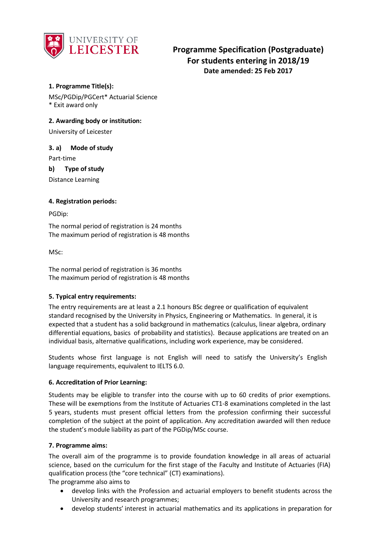

# **Programme Specification (Postgraduate) For students entering in 2018/19 Date amended: 25 Feb 2017**

# **1. Programme Title(s):**

MSc/PGDip/PGCert\* Actuarial Science \* Exit award only

**2. Awarding body or institution:**

University of Leicester

# **3. a) Mode of study**

Part-time

#### **b) Type of study**

Distance Learning

#### **4. Registration periods:**

PGDip:

The normal period of registration is 24 months The maximum period of registration is 48 months

MSc:

The normal period of registration is 36 months The maximum period of registration is 48 months

# **5. Typical entry requirements:**

The entry requirements are at least a 2.1 honours BSc degree or qualification of equivalent standard recognised by the University in Physics, Engineering or Mathematics. In general, it is expected that a student has a solid background in mathematics (calculus, linear algebra, ordinary differential equations, basics of probability and statistics). Because applications are treated on an individual basis, alternative qualifications, including work experience, may be considered.

Students whose first language is not English will need to satisfy the University's English language requirements, equivalent to IELTS 6.0.

# **6. Accreditation of Prior Learning:**

Students may be eligible to transfer into the course with up to 60 credits of prior exemptions. These will be exemptions from the Institute of Actuaries CT1-8 examinations completed in the last 5 years, students must present official letters from the profession confirming their successful completion of the subject at the point of application. Any accreditation awarded will then reduce the student's module liability as part of the PGDip/MSc course.

# **7. Programme aims:**

The overall aim of the programme is to provide foundation knowledge in all areas of actuarial science, based on the curriculum for the first stage of the Faculty and Institute of Actuaries (FIA) qualification process (the "core technical" (CT) examinations).

The programme also aims to

- develop links with the Profession and actuarial employers to benefit students across the University and research programmes;
- develop students' interest in actuarial mathematics and its applications in preparation for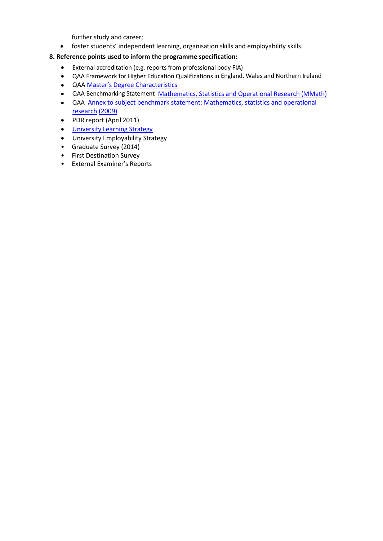further study and career;

- foster students' independent learning, organisation skills and employability skills.
- **8. Reference points used to inform the programme specification:**
	- External accreditation (e.g. reports from professional body FIA)
	- QAA Framework for Higher Education Qualifications in England, Wales and Northern Ireland
	- QAA Master's Degree [Characteristics](http://www.qaa.ac.uk/en/Publications/Documents/Masters-Degree-Characteristics-2010.pdf)
	- QAA Benchmarking Statement Mathematics, Statistics [and Operational Research](http://www.qaa.ac.uk/en/Publications/Documents/Subject-benchmark-statement-Mathematics-statistics-and-operational-research.pdf) (MMath)
	- QAA Annex to subject benchmark statement: Mathematics, statistics [and operational](http://www.qaa.ac.uk/en/Publications/Documents/Annex-to-Subject-benchmark-statement-Mathematics-statistics-and-operational-research.pdf)  [research](http://www.qaa.ac.uk/en/Publications/Documents/Annex-to-Subject-benchmark-statement-Mathematics-statistics-and-operational-research.pdf) [\(2009\)](http://www.qaa.ac.uk/en/Publications/Documents/Annex-to-Subject-benchmark-statement-Mathematics-statistics-and-operational-research.pdf)
	- PDR report (April 2011)
	- University [Learning Strategy](http://www2.le.ac.uk/offices/sas2/quality/learnteach)
	- University Employability Strategy
	- Graduate Survey (2014)
	- First Destination Survey
	- External Examiner's Reports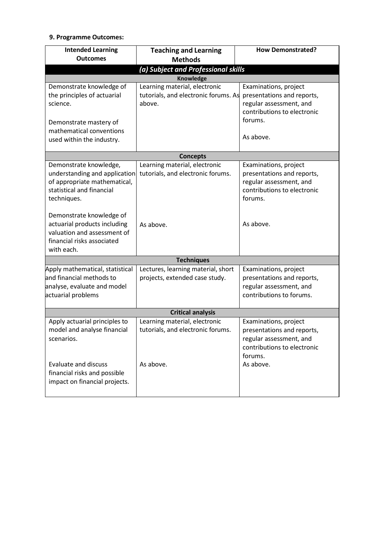# **9. Programme Outcomes:**

| <b>Intended Learning</b>                                  | <b>Teaching and Learning</b>         | <b>How Demonstrated?</b>                               |  |  |  |  |
|-----------------------------------------------------------|--------------------------------------|--------------------------------------------------------|--|--|--|--|
| <b>Outcomes</b>                                           | <b>Methods</b>                       |                                                        |  |  |  |  |
| (a) Subject and Professional skills                       |                                      |                                                        |  |  |  |  |
|                                                           | Knowledge                            |                                                        |  |  |  |  |
| Demonstrate knowledge of                                  | Learning material, electronic        | Examinations, project                                  |  |  |  |  |
| the principles of actuarial                               | tutorials, and electronic forums. As | presentations and reports,                             |  |  |  |  |
| science.                                                  | above.                               | regular assessment, and                                |  |  |  |  |
|                                                           |                                      | contributions to electronic                            |  |  |  |  |
| Demonstrate mastery of                                    |                                      | forums.                                                |  |  |  |  |
| mathematical conventions                                  |                                      |                                                        |  |  |  |  |
| used within the industry.                                 |                                      | As above.                                              |  |  |  |  |
|                                                           |                                      |                                                        |  |  |  |  |
|                                                           | <b>Concepts</b>                      |                                                        |  |  |  |  |
| Demonstrate knowledge,                                    | Learning material, electronic        | Examinations, project                                  |  |  |  |  |
| understanding and application                             | tutorials, and electronic forums.    | presentations and reports,                             |  |  |  |  |
| of appropriate mathematical,<br>statistical and financial |                                      | regular assessment, and<br>contributions to electronic |  |  |  |  |
|                                                           |                                      | forums.                                                |  |  |  |  |
| techniques.                                               |                                      |                                                        |  |  |  |  |
| Demonstrate knowledge of                                  |                                      |                                                        |  |  |  |  |
| actuarial products including                              | As above.                            | As above.                                              |  |  |  |  |
| valuation and assessment of                               |                                      |                                                        |  |  |  |  |
| financial risks associated                                |                                      |                                                        |  |  |  |  |
| with each.                                                |                                      |                                                        |  |  |  |  |
|                                                           | <b>Techniques</b>                    |                                                        |  |  |  |  |
| Apply mathematical, statistical                           | Lectures, learning material, short   | Examinations, project                                  |  |  |  |  |
| and financial methods to                                  | projects, extended case study.       | presentations and reports,                             |  |  |  |  |
| analyse, evaluate and model                               |                                      | regular assessment, and                                |  |  |  |  |
| actuarial problems                                        |                                      | contributions to forums.                               |  |  |  |  |
|                                                           |                                      |                                                        |  |  |  |  |
|                                                           | <b>Critical analysis</b>             |                                                        |  |  |  |  |
| Apply actuarial principles to                             | Learning material, electronic        | Examinations, project                                  |  |  |  |  |
| model and analyse financial                               | tutorials, and electronic forums.    | presentations and reports,                             |  |  |  |  |
| scenarios.                                                |                                      | regular assessment, and<br>contributions to electronic |  |  |  |  |
|                                                           |                                      |                                                        |  |  |  |  |
| <b>Evaluate and discuss</b>                               |                                      | forums.                                                |  |  |  |  |
|                                                           | As above.                            | As above.                                              |  |  |  |  |
| financial risks and possible                              |                                      |                                                        |  |  |  |  |
| impact on financial projects.                             |                                      |                                                        |  |  |  |  |
|                                                           |                                      |                                                        |  |  |  |  |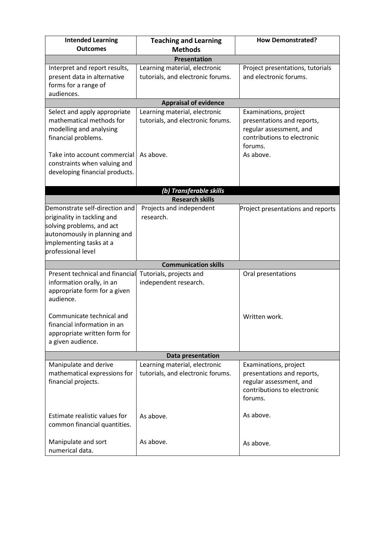| <b>Intended Learning</b><br><b>Outcomes</b>                                                                                                                                                                  | <b>Teaching and Learning</b><br><b>Methods</b>                                  | <b>How Demonstrated?</b>                                                                                                              |  |  |  |  |
|--------------------------------------------------------------------------------------------------------------------------------------------------------------------------------------------------------------|---------------------------------------------------------------------------------|---------------------------------------------------------------------------------------------------------------------------------------|--|--|--|--|
| <b>Presentation</b>                                                                                                                                                                                          |                                                                                 |                                                                                                                                       |  |  |  |  |
| Interpret and report results,<br>present data in alternative<br>forms for a range of<br>audiences.                                                                                                           | Learning material, electronic<br>tutorials, and electronic forums.              | Project presentations, tutorials<br>and electronic forums.                                                                            |  |  |  |  |
|                                                                                                                                                                                                              | <b>Appraisal of evidence</b>                                                    |                                                                                                                                       |  |  |  |  |
| Select and apply appropriate<br>mathematical methods for<br>modelling and analysing<br>financial problems.<br>Take into account commercial<br>constraints when valuing and<br>developing financial products. | Learning material, electronic<br>tutorials, and electronic forums.<br>As above. | Examinations, project<br>presentations and reports,<br>regular assessment, and<br>contributions to electronic<br>forums.<br>As above. |  |  |  |  |
|                                                                                                                                                                                                              |                                                                                 |                                                                                                                                       |  |  |  |  |
|                                                                                                                                                                                                              | (b) Transferable skills                                                         |                                                                                                                                       |  |  |  |  |
|                                                                                                                                                                                                              | <b>Research skills</b>                                                          |                                                                                                                                       |  |  |  |  |
| Demonstrate self-direction and<br>originality in tackling and<br>solving problems, and act<br>autonomously in planning and<br>implementing tasks at a<br>professional level                                  | Projects and independent<br>research.                                           | Project presentations and reports                                                                                                     |  |  |  |  |
|                                                                                                                                                                                                              | <b>Communication skills</b>                                                     |                                                                                                                                       |  |  |  |  |
| Present technical and financial<br>information orally, in an<br>appropriate form for a given<br>audience.                                                                                                    | Tutorials, projects and<br>independent research.                                | Oral presentations                                                                                                                    |  |  |  |  |
| Communicate technical and<br>financial information in an<br>appropriate written form for<br>a given audience.                                                                                                |                                                                                 | Written work.                                                                                                                         |  |  |  |  |
|                                                                                                                                                                                                              | <b>Data presentation</b>                                                        |                                                                                                                                       |  |  |  |  |
| Manipulate and derive<br>mathematical expressions for<br>financial projects.                                                                                                                                 | Learning material, electronic<br>tutorials, and electronic forums.              | Examinations, project<br>presentations and reports,<br>regular assessment, and<br>contributions to electronic<br>forums.              |  |  |  |  |
| Estimate realistic values for<br>common financial quantities.                                                                                                                                                | As above.                                                                       | As above.                                                                                                                             |  |  |  |  |
| Manipulate and sort<br>numerical data.                                                                                                                                                                       | As above.                                                                       | As above.                                                                                                                             |  |  |  |  |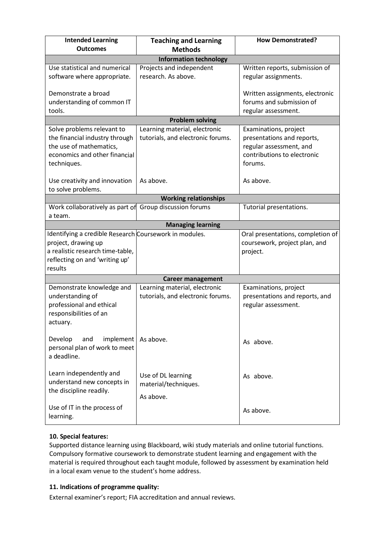| <b>Intended Learning</b><br><b>Outcomes</b>            | <b>Teaching and Learning</b><br><b>Methods</b> | <b>How Demonstrated?</b>          |  |  |  |
|--------------------------------------------------------|------------------------------------------------|-----------------------------------|--|--|--|
| <b>Information technology</b>                          |                                                |                                   |  |  |  |
| Use statistical and numerical                          | Projects and independent                       | Written reports, submission of    |  |  |  |
| software where appropriate.                            | research. As above.                            | regular assignments.              |  |  |  |
| Demonstrate a broad                                    |                                                | Written assignments, electronic   |  |  |  |
| understanding of common IT                             |                                                | forums and submission of          |  |  |  |
| tools.                                                 |                                                | regular assessment.               |  |  |  |
|                                                        | <b>Problem solving</b>                         |                                   |  |  |  |
| Solve problems relevant to                             | Learning material, electronic                  | Examinations, project             |  |  |  |
| the financial industry through                         | tutorials, and electronic forums.              | presentations and reports,        |  |  |  |
| the use of mathematics,                                |                                                | regular assessment, and           |  |  |  |
| economics and other financial                          |                                                | contributions to electronic       |  |  |  |
| techniques.                                            |                                                | forums.                           |  |  |  |
| Use creativity and innovation                          | As above.                                      | As above.                         |  |  |  |
| to solve problems.                                     |                                                |                                   |  |  |  |
|                                                        | <b>Working relationships</b>                   |                                   |  |  |  |
| Work collaboratively as part of                        | Group discussion forums                        | Tutorial presentations.           |  |  |  |
| a team.                                                |                                                |                                   |  |  |  |
|                                                        | <b>Managing learning</b>                       |                                   |  |  |  |
| Identifying a credible Research Coursework in modules. |                                                | Oral presentations, completion of |  |  |  |
| project, drawing up                                    |                                                | coursework, project plan, and     |  |  |  |
| a realistic research time-table,                       |                                                | project.                          |  |  |  |
| reflecting on and 'writing up'                         |                                                |                                   |  |  |  |
| results                                                |                                                |                                   |  |  |  |
|                                                        | <b>Career management</b>                       |                                   |  |  |  |
| Demonstrate knowledge and                              | Learning material, electronic                  | Examinations, project             |  |  |  |
| understanding of                                       | tutorials, and electronic forums.              | presentations and reports, and    |  |  |  |
| professional and ethical                               |                                                | regular assessment.               |  |  |  |
| responsibilities of an                                 |                                                |                                   |  |  |  |
| actuary.                                               |                                                |                                   |  |  |  |
| Develop<br>and<br>implement                            | As above.                                      |                                   |  |  |  |
| personal plan of work to meet                          |                                                | As above.                         |  |  |  |
| a deadline.                                            |                                                |                                   |  |  |  |
|                                                        |                                                |                                   |  |  |  |
| Learn independently and                                | Use of DL learning                             | As above.                         |  |  |  |
| understand new concepts in                             | material/techniques.                           |                                   |  |  |  |
| the discipline readily.                                |                                                |                                   |  |  |  |
|                                                        |                                                |                                   |  |  |  |
|                                                        | As above.                                      |                                   |  |  |  |
| Use of IT in the process of                            |                                                |                                   |  |  |  |
| learning.                                              |                                                | As above.                         |  |  |  |

# **10. Special features:**

Supported distance learning using Blackboard, wiki study materials and online tutorial functions. Compulsory formative coursework to demonstrate student learning and engagement with the material is required throughout each taught module, followed by assessment by examination held in a local exam venue to the student's home address.

# **11. Indications of programme quality:**

External examiner's report; FIA accreditation and annual reviews.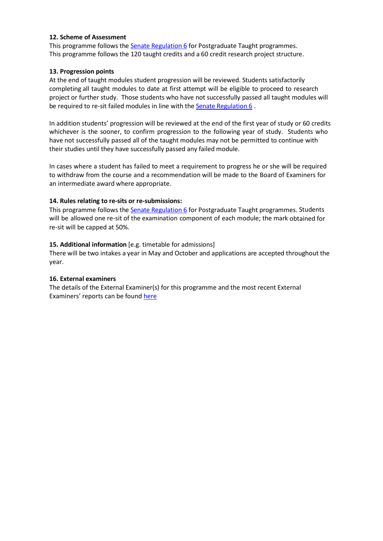#### **12. Scheme of Assessment**

This programme follows the Senate Regulation 6 for Postgraduate Taught programmes. This programme follows the 120 taught credits and a 60 credit research project structure.

#### **13. Progression points**

At the end of taught modules student progression will be reviewed. Students satisfactorily completing all taught modules to date at first attempt will be eligible to proceed to research project or further study. Those students who have not successfully passed all taught modules will be required to re-sit failed modules in line with the Senate Regulation 6 .

In addition students' progression will be reviewed at the end of the first year of study or 60 credits whichever is the sooner, to confirm progression to the following year of study. Students who have not successfully passed all of the taught modules may not be permitted to continue with their studies until they have successfully passed any failed module.

In cases where a student has failed to meet a requirement to progress he or she will be required to withdraw from the course and a recommendation will be made to the Board of Examiners for an intermediate award where appropriate.

#### **14. Rules relating to re-sits or re-submissions:**

This programme follows the Senate Regulation 6 for Postgraduate Taught programmes. Students will be allowed one re-sit of the examination component of each module; the mark obtained for re-sit will be capped at 50%.

#### **15. Additional information** [e.g. timetable for admissions]

There will be two intakes a year in May and October and applications are accepted throughout the year.

#### **16. External examiners**

The details of the External Examiner(s) for this programme and the most recent External Examiners' reports can be found [here](https://exampapers.le.ac.uk/xmlui/handle/123456789/169)